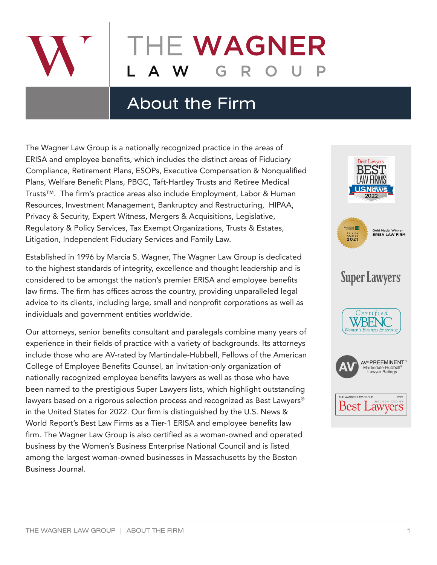

# HE WAGNER

## About the Firm

The Wagner Law Group is a nationally recognized practice in the areas of ERISA and employee benefits, which includes the distinct areas of Fiduciary Compliance, Retirement Plans, ESOPs, Executive Compensation & Nonqualified Plans, Welfare Benefit Plans, PBGC, Taft-Hartley Trusts and Retiree Medical Trusts™. The firm's practice areas also include Employment, Labor & Human Resources, Investment Management, Bankruptcy and Restructuring, HIPAA, Privacy & Security, Expert Witness, Mergers & Acquisitions, Legislative, Regulatory & Policy Services, Tax Exempt Organizations, Trusts & Estates, Litigation, Independent Fiduciary Services and Family Law.

Established in 1996 by Marcia S. Wagner, The Wagner Law Group is dedicated to the highest standards of integrity, excellence and thought leadership and is considered to be amongst the nation's premier ERISA and employee benefits law firms. The firm has offices across the country, providing unparalleled legal advice to its clients, including large, small and nonprofit corporations as well as individuals and government entities worldwide.

Our attorneys, senior benefits consultant and paralegals combine many years of experience in their fields of practice with a variety of backgrounds. Its attorneys include those who are AV-rated by Martindale-Hubbell, Fellows of the American College of Employee Benefits Counsel, an invitation-only organization of nationally recognized employee benefits lawyers as well as those who have been named to the prestigious Super Lawyers lists, which highlight outstanding lawyers based on a rigorous selection process and recognized as Best Lawyers® in the United States for 2022. Our firm is distinguished by the U.S. News & World Report's Best Law Firms as a Tier-1 ERISA and employee benefits law firm. The Wagner Law Group is also certified as a woman-owned and operated business by the Women's Business Enterprise National Council and is listed among the largest woman-owned businesses in Massachusetts by the Boston Business Journal.

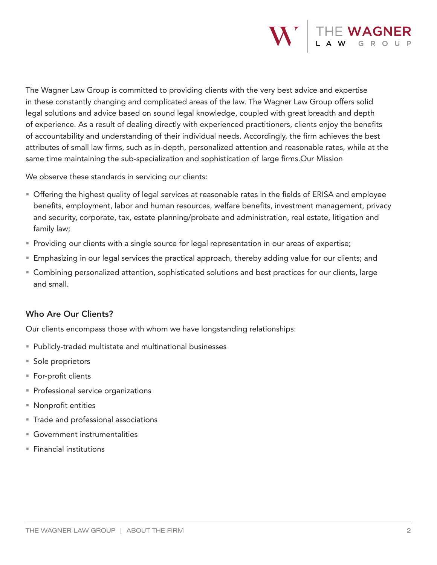

The Wagner Law Group is committed to providing clients with the very best advice and expertise in these constantly changing and complicated areas of the law. The Wagner Law Group offers solid legal solutions and advice based on sound legal knowledge, coupled with great breadth and depth of experience. As a result of dealing directly with experienced practitioners, clients enjoy the benefits of accountability and understanding of their individual needs. Accordingly, the firm achieves the best attributes of small law firms, such as in-depth, personalized attention and reasonable rates, while at the same time maintaining the sub-specialization and sophistication of large firms.Our Mission

We observe these standards in servicing our clients:

- Offering the highest quality of legal services at reasonable rates in the fields of ERISA and employee benefits, employment, labor and human resources, welfare benefits, investment management, privacy and security, corporate, tax, estate planning/probate and administration, real estate, litigation and family law;
- **Providing our clients with a single source for legal representation in our areas of expertise;**
- Emphasizing in our legal services the practical approach, thereby adding value for our clients; and
- Combining personalized attention, sophisticated solutions and best practices for our clients, large and small.

#### Who Are Our Clients?

Our clients encompass those with whom we have longstanding relationships:

- Publicly-traded multistate and multinational businesses
- Sole proprietors
- For-profit clients
- **Professional service organizations**
- Nonprofit entities
- **Trade and professional associations**
- Government instrumentalities
- $F$  Financial institutions